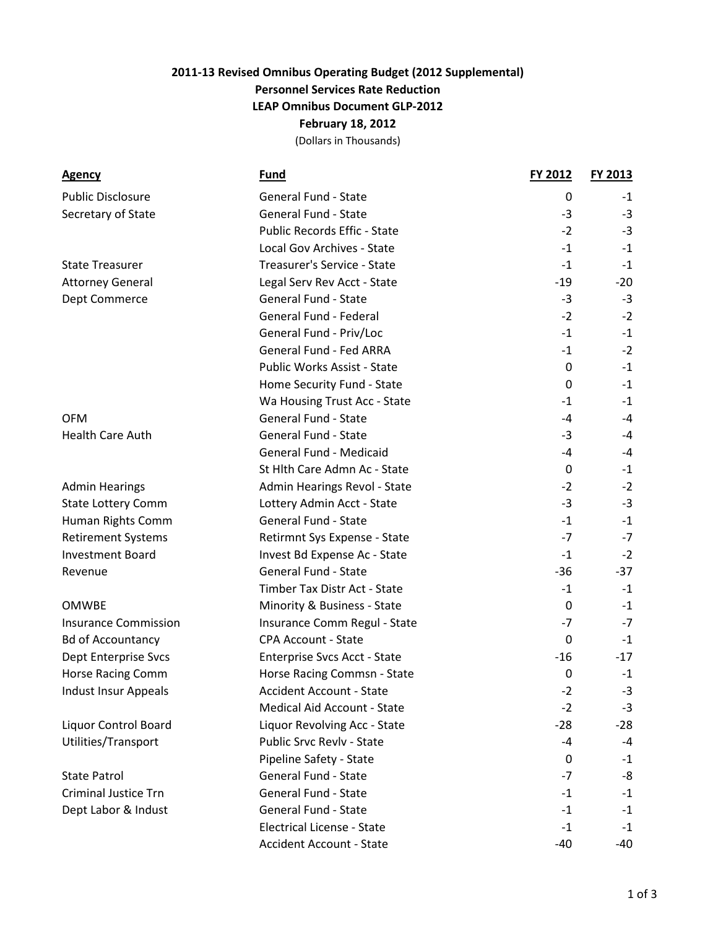## **2011-13 Revised Omnibus Operating Budget (2012 Supplemental) Personnel Services Rate Reduction LEAP Omnibus Document GLP-2012 February 18, 2012**

(Dollars in Thousands)

| <b>Agency</b>               | <u>Fund</u>                         | <b>FY 2012</b>   | <b>FY 2013</b> |
|-----------------------------|-------------------------------------|------------------|----------------|
| <b>Public Disclosure</b>    | <b>General Fund - State</b>         | 0                | -1             |
| Secretary of State          | <b>General Fund - State</b>         | $-3$             | $-3$           |
|                             | <b>Public Records Effic - State</b> | $-2$             | $-3$           |
|                             | Local Gov Archives - State          | $-1$             | $-1$           |
| <b>State Treasurer</b>      | Treasurer's Service - State         | $-1$             | $-1$           |
| <b>Attorney General</b>     | Legal Serv Rev Acct - State         | $-19$            | $-20$          |
| Dept Commerce               | General Fund - State                | $-3$             | $-3$           |
|                             | General Fund - Federal              | $-2$             | $-2$           |
|                             | General Fund - Priv/Loc             | $-1$             | $-1$           |
|                             | General Fund - Fed ARRA             | $-1$             | $-2$           |
|                             | Public Works Assist - State         | 0                | $-1$           |
|                             | Home Security Fund - State          | 0                | $-1$           |
|                             | Wa Housing Trust Acc - State        | $-1$             | $-1$           |
| <b>OFM</b>                  | <b>General Fund - State</b>         | -4               | $-4$           |
| <b>Health Care Auth</b>     | <b>General Fund - State</b>         | -3               | -4             |
|                             | General Fund - Medicaid             | -4               | $-4$           |
|                             | St Hlth Care Admn Ac - State        | 0                | -1             |
| <b>Admin Hearings</b>       | Admin Hearings Revol - State        | $-2$             | $-2$           |
| <b>State Lottery Comm</b>   | Lottery Admin Acct - State          | $-3$             | $-3$           |
| Human Rights Comm           | <b>General Fund - State</b>         | $-1$             | $-1$           |
| <b>Retirement Systems</b>   | Retirmnt Sys Expense - State        | $-7$             | $-7$           |
| <b>Investment Board</b>     | Invest Bd Expense Ac - State        | $-1$             | $-2$           |
| Revenue                     | General Fund - State                | $-36$            | $-37$          |
|                             | Timber Tax Distr Act - State        | $-1$             | $-1$           |
| <b>OMWBE</b>                | Minority & Business - State         | 0                | $-1$           |
| <b>Insurance Commission</b> | Insurance Comm Regul - State        | $-7$             | $-7$           |
| <b>Bd of Accountancy</b>    | <b>CPA Account - State</b>          | 0                | $-1$           |
| <b>Dept Enterprise Svcs</b> | Enterprise Svcs Acct - State        | $-16$            | $-17$          |
| Horse Racing Comm           | Horse Racing Commsn - State         | $\boldsymbol{0}$ | $-1$           |
| Indust Insur Appeals        | <b>Accident Account - State</b>     | $-2$             | $-3$           |
|                             | <b>Medical Aid Account - State</b>  | $-2$             | $-3$           |
| <b>Liquor Control Board</b> | Liquor Revolving Acc - State        | $-28$            | $-28$          |
| Utilities/Transport         | Public Srvc Revlv - State           | $-4$             | $-4$           |
|                             | Pipeline Safety - State             | 0                | $-1$           |
| <b>State Patrol</b>         | <b>General Fund - State</b>         | $-7$             | -8             |
| <b>Criminal Justice Trn</b> | General Fund - State                | $-1$             | $-1$           |
| Dept Labor & Indust         | <b>General Fund - State</b>         | $-1$             | $-1$           |
|                             | <b>Electrical License - State</b>   | $-1$             | $-1$           |
|                             | <b>Accident Account - State</b>     | $-40$            | -40            |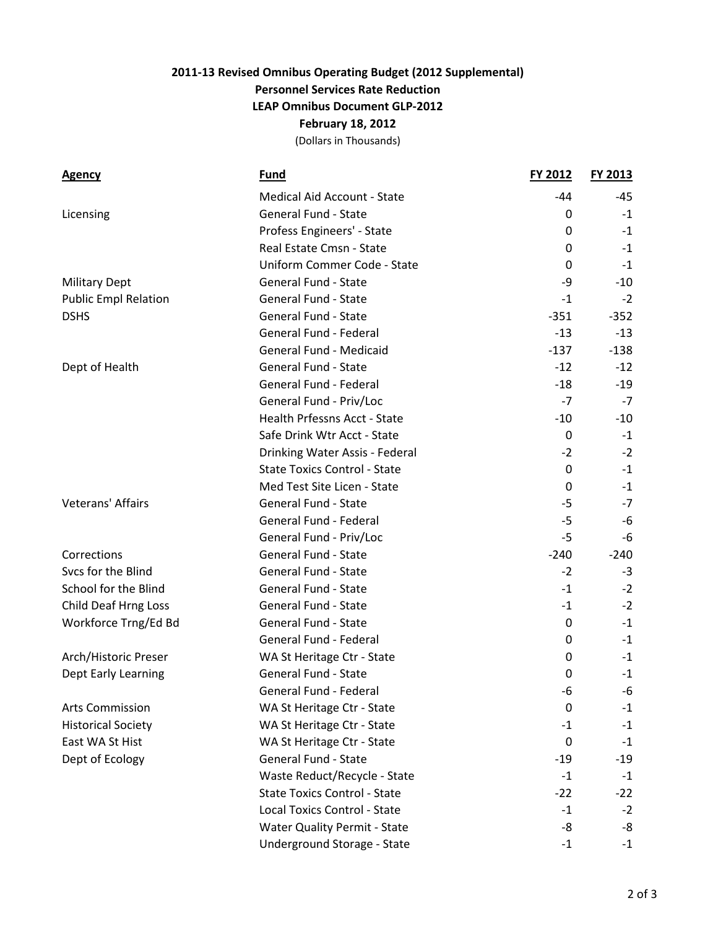## **2011-13 Revised Omnibus Operating Budget (2012 Supplemental) Personnel Services Rate Reduction LEAP Omnibus Document GLP-2012 February 18, 2012** (Dollars in Thousands)

| <u>Agency</u>               | <b>Fund</b>                         | FY 2012     | <b>FY 2013</b> |
|-----------------------------|-------------------------------------|-------------|----------------|
|                             | Medical Aid Account - State         | -44         | -45            |
| Licensing                   | <b>General Fund - State</b>         | 0           | $-1$           |
|                             | Profess Engineers' - State          | 0           | $-1$           |
|                             | Real Estate Cmsn - State            | 0           | $-1$           |
|                             | Uniform Commer Code - State         | 0           | $-1$           |
| <b>Military Dept</b>        | <b>General Fund - State</b>         | -9          | $-10$          |
| <b>Public Empl Relation</b> | <b>General Fund - State</b>         | $-1$        | $-2$           |
| <b>DSHS</b>                 | <b>General Fund - State</b>         | $-351$      | $-352$         |
|                             | General Fund - Federal              | $-13$       | $-13$          |
|                             | General Fund - Medicaid             | $-137$      | $-138$         |
| Dept of Health              | <b>General Fund - State</b>         | $-12$       | $-12$          |
|                             | General Fund - Federal              | $-18$       | $-19$          |
|                             | General Fund - Priv/Loc             | $-7$        | $-7$           |
|                             | Health Prfessns Acct - State        | $-10$       | $-10$          |
|                             | Safe Drink Wtr Acct - State         | $\mathbf 0$ | $-1$           |
|                             | Drinking Water Assis - Federal      | $-2$        | $-2$           |
|                             | <b>State Toxics Control - State</b> | $\Omega$    | $-1$           |
|                             | Med Test Site Licen - State         | 0           | -1             |
| Veterans' Affairs           | <b>General Fund - State</b>         | $-5$        | $-7$           |
|                             | General Fund - Federal              | $-5$        | -6             |
|                             | General Fund - Priv/Loc             | $-5$        | -6             |
| Corrections                 | <b>General Fund - State</b>         | $-240$      | $-240$         |
| Svcs for the Blind          | <b>General Fund - State</b>         | $-2$        | $-3$           |
| <b>School for the Blind</b> | <b>General Fund - State</b>         | $-1$        | $-2$           |
| Child Deaf Hrng Loss        | General Fund - State                | $-1$        | $-2$           |
| Workforce Trng/Ed Bd        | <b>General Fund - State</b>         | 0           | $-1$           |
|                             | General Fund - Federal              | 0           | $-1$           |
| Arch/Historic Preser        | WA St Heritage Ctr - State          | 0           | -1             |
| Dept Early Learning         | <b>General Fund - State</b>         | $\Omega$    | $-1$           |
|                             | General Fund - Federal              | -6          | -6             |
| Arts Commission             | WA St Heritage Ctr - State          | 0           | $-1$           |
| <b>Historical Society</b>   | WA St Heritage Ctr - State          | $-1$        | $-1$           |
| East WA St Hist             | WA St Heritage Ctr - State          | 0           | $-1$           |
| Dept of Ecology             | General Fund - State                | $-19$       | $-19$          |
|                             | Waste Reduct/Recycle - State        | $-1$        | $-1$           |
|                             | <b>State Toxics Control - State</b> | $-22$       | $-22$          |
|                             | <b>Local Toxics Control - State</b> | $-1$        | $-2$           |
|                             | <b>Water Quality Permit - State</b> | -8          | -8             |
|                             | Underground Storage - State         | $-1$        | $-1$           |